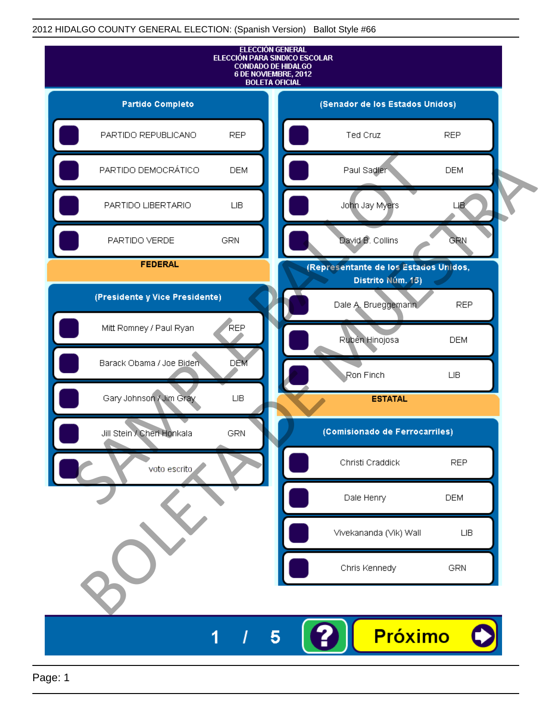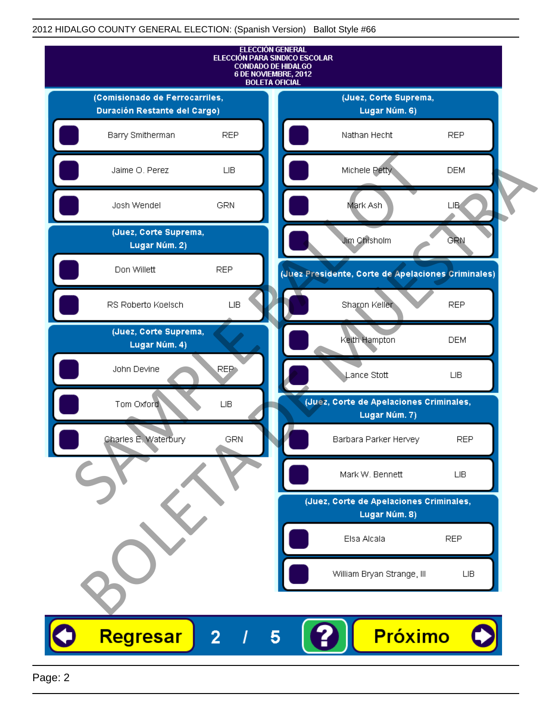

Page: 2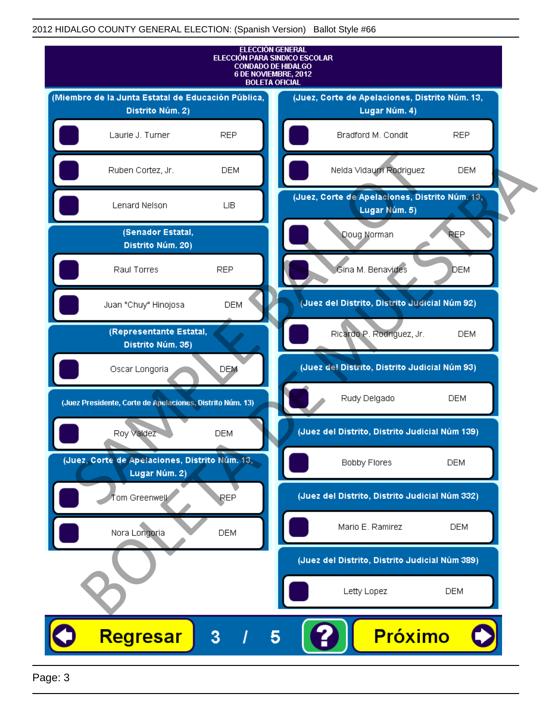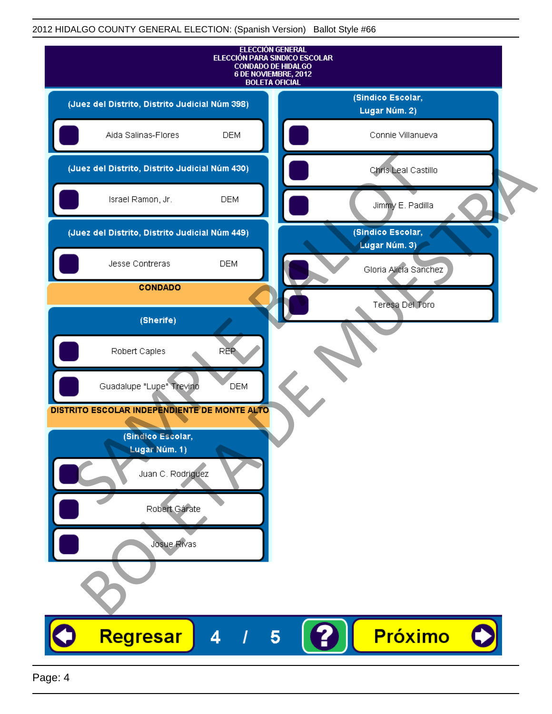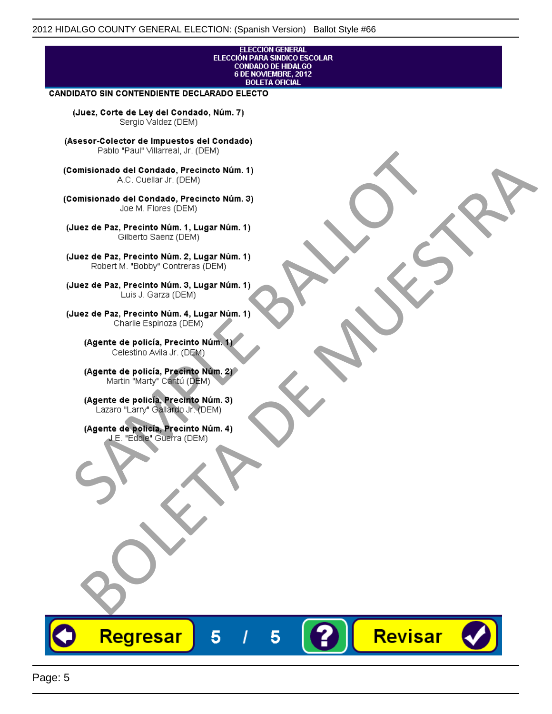# ELECCIÓN GENERAL<br>ELECCIÓN PARA SINDICO ESCOLAR<br>CONDADO DE HIDALGO<br>6 DE NOVIEMBRE, 2012 **BOLETA OFICIAL CANDIDATO SIN CONTENDIENTE DECLARADO ELECTO** (Juez, Corte de Ley del Condado, Núm. 7) Sergio Valdez (DEM) (Asesor-Colector de Impuestos del Condado) Fallo Fall Willdrea, J.I. (DEM)<br>
Consistionado el Condado, Precincto Núm. 1)<br>
A.C. Cuellar Jr. (DEM)<br>
Ullez de Paz, Precinto Núm. 1)<br>
Juez de Paz, Precinto Núm. 1, Lugar Núm. 1)<br>
Gilberto Sentr (DEM)<br>
Robert M. "Bobby" Con misionado del Condiado, Precincto Núm. 1)<br>
Andro del Condiado, Precincto Núm. 3)<br>
ez de Paz, Precinto Núm. 21<br>
algo M. Picer Lo Saerz, Cichi (DEM)<br>
algo M. Picer Lo Saerz, Cichi (DEM)<br>
algo M. Picer Lo Saerz, Cichi (DEM)<br>

Revisar

Regresar

5

5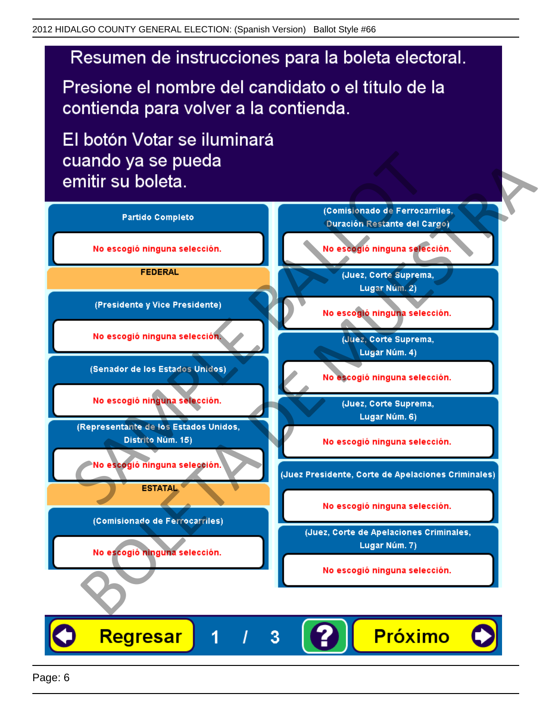# Resumen de instrucciones para la boleta electoral.

Presione el nombre del candidato o el título de la contienda para volver a la contienda.

El botón Votar se iluminará

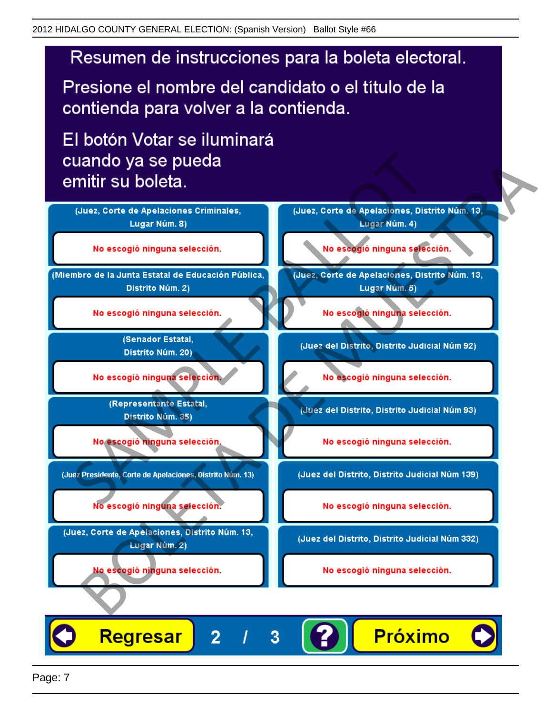# Resumen de instrucciones para la boleta electoral.

Presione el nombre del candidato o el título de la contienda para volver a la contienda.

El botón Votar se iluminará